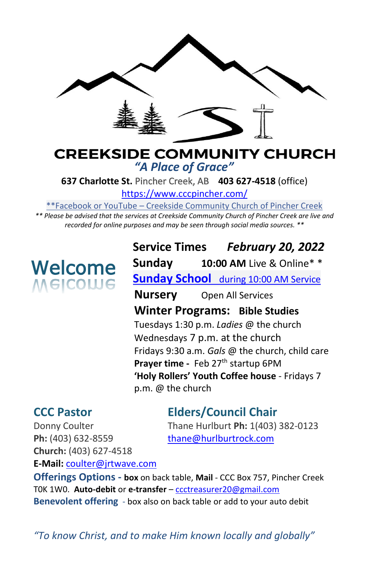

# **CREEKSIDE COMMUNITY CHURCH** *"A Place of Grace"*

**637 Charlotte St.** Pincher Creek, AB **403 627-4518** (office)

<https://www.cccpincher.com/>

\*\*Facebook or YouTube – Creekside Community Church of Pincher Creek

*\*\* Please be advised that the services at Creekside Community Church of Pincher Creek are live and recorded for online purposes and may be seen through social media sources. \*\**

# **Welcome**<br>Melcolue

**Service Times** *February 20, 2022* **Sunday 10:00 AM** Live & Online\* \* **Sunday School** during 10:00 AM Service **Nursery** Open All Services **Winter Programs: Bible Studies** Tuesdays 1:30 p.m. *Ladies* @ the church Wednesdays 7 p.m. at the church Fridays 9:30 a.m. *Gals* @ the church, child care Prayer time - Feb 27<sup>th</sup> startup 6PM **'Holy Rollers' Youth Coffee house** - Fridays 7 p.m. @ the church

# **CCC Pastor Elders/Council Chair**

Donny Coulter Thane Hurlburt **Ph:** 1(403) 382-0123

Ph: (403) 632-8559 [thane@hurlburtrock.com](mailto:thane@hurlburtrock.com) **Church:** (403) 627-4518 **E-Mail:** [coulter@jrtwave.com](mailto:coulter@jrtwave.com)

**Offerings Options - box** on back table, **Mail** - CCC Box 757, Pincher Creek T0K 1W0. **Auto-debit** or **e-transfer** – [ccctreasurer20@gmail.com](mailto:ccctreasurer20@gmail.com) **Benevolent offering** - box also on back table or add to your auto debit

*"To know Christ, and to make Him known locally and globally"*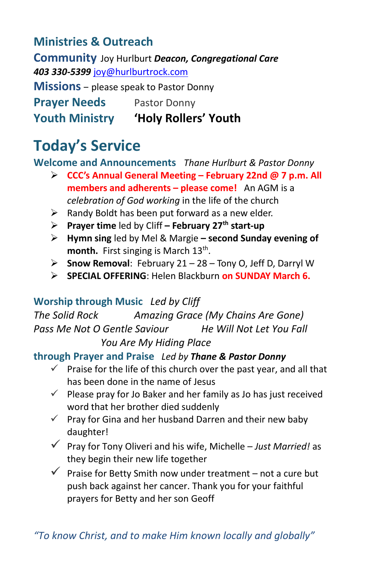# **Ministries & Outreach**

**Community** Joy Hurlburt *Deacon, Congregational Care 403 330-5399* [joy@hurlburtrock.com](mailto:joy@hurlburtrock.com)

**Missions** – please speak to Pastor Donny

**Prayer Needs** Pastor Donny

**Youth Ministry 'Holy Rollers' Youth**

# **Today's Service**

**Welcome and Announcements** *Thane Hurlburt & Pastor Donny*

- ➢ **CCC's Annual General Meeting – February 22nd @ 7 p.m. All members and adherents – please come!** An AGM is a *celebration of God working* in the life of the church
- $\triangleright$  Randy Boldt has been put forward as a new elder.
- ➢ **Prayer time** led by Cliff **– February 27th start-up**
- ➢ **Hymn sing** led by Mel & Margie **– second Sunday evening of**  month. First singing is March 13<sup>th</sup>.
- ➢ **Snow Removal**: February 21 28 Tony O, Jeff D, Darryl W
- ➢ **SPECIAL OFFERING**: Helen Blackburn **on SUNDAY March 6.**

# **Worship through Music** *Led by Cliff*

*The Solid Rock Amazing Grace (My Chains Are Gone) Pass Me Not O Gentle Saviour He Will Not Let You Fall*

*You Are My Hiding Place*

# **through Prayer and Praise** *Led by Thane & Pastor Donny*

- $\checkmark$  Praise for the life of this church over the past year, and all that has been done in the name of Jesus
- $\checkmark$  Please pray for Jo Baker and her family as Jo has just received word that her brother died suddenly
- $\checkmark$  Pray for Gina and her husband Darren and their new baby daughter!
- ✓ Pray for Tony Oliveri and his wife, Michelle *Just Married!* as they begin their new life together
- $\checkmark$  Praise for Betty Smith now under treatment not a cure but push back against her cancer. Thank you for your faithful prayers for Betty and her son Geoff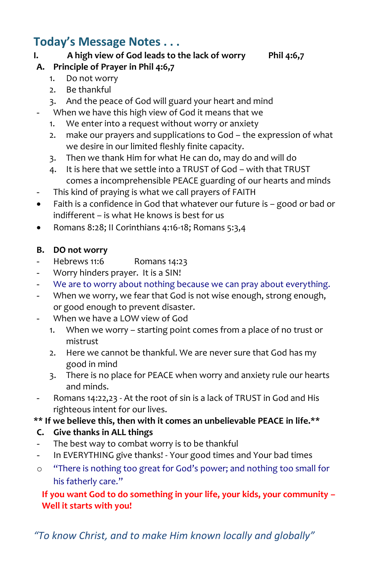# **Today's Message Notes . . .**

## **I. A high view of God leads to the lack of worry Phil 4:6,7**

# **A. Principle of Prayer in Phil 4:6,7**

- 1. Do not worry
- 2. Be thankful
- 3. And the peace of God will guard your heart and mind
- When we have this high view of God it means that we
	- 1. We enter into a request without worry or anxiety
	- 2. make our prayers and supplications to God the expression of what we desire in our limited fleshly finite capacity.
	- 3. Then we thank Him for what He can do, may do and will do
	- 4. It is here that we settle into a TRUST of God with that TRUST comes a incomprehensible PEACE guarding of our hearts and minds
- This kind of praying is what we call prayers of FAITH
- Faith is a confidence in God that whatever our future is good or bad or indifferent – is what He knows is best for us
- Romans 8:28; II Corinthians 4:16-18; Romans 5:3,4

#### **B. DO not worry**

- Hebrews 11:6 Romans 14:23
- Worry hinders prayer. It is a SIN!
- We are to worry about nothing because we can pray about everything.
- When we worry, we fear that God is not wise enough, strong enough, or good enough to prevent disaster.
- When we have a LOW view of God
	- 1. When we worry starting point comes from a place of no trust or mistrust
	- 2. Here we cannot be thankful. We are never sure that God has my good in mind
	- 3. There is no place for PEACE when worry and anxiety rule our hearts and minds.
- Romans 14:22,23 At the root of sin is a lack of TRUST in God and His righteous intent for our lives.

## **\*\* If we believe this, then with it comes an unbelievable PEACE in life.\*\***

## **C. Give thanks in ALL things**

- The best way to combat worry is to be thankful
- In EVERYTHING give thanks! Your good times and Your bad times
- o "There is nothing too great for God's power; and nothing too small for his fatherly care."

## **If you want God to do something in your life, your kids, your community – Well it starts with you!**

*"To know Christ, and to make Him known locally and globally"*